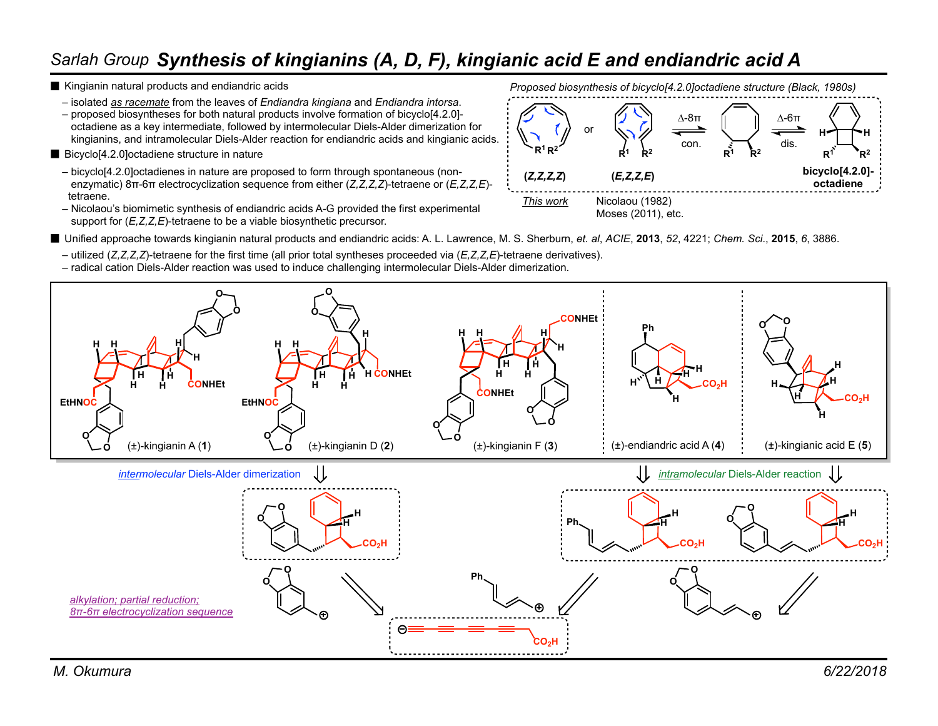## *Sarlah Group Synthesis of kingianins (A, D, F), kingianic acid E and endiandric acid A*

- Kingianin natural products and endiandric acids
	- isolated *as racemate* from the leaves of *Endiandra kingiana* and *Endiandra intorsa*.

– proposed biosyntheses for both natural products involve formation of bicyclo[4.2.0] octadiene as a key intermediate, followed by intermolecular Diels-Alder dimerization for kingianins, and intramolecular Diels-Alder reaction for endiandric acids and kingianic acids.

- Bicyclo<sup>[4.2.0]</sup>octadiene structure in nature
	- bicyclo[4.2.0]octadienes in nature are proposed to form through spontaneous (non enzymatic) 8π-6π electrocyclization sequence from either (*Z,Z,Z,Z*)-tetraene or (*E,Z,Z,E*) tetraene.
	- Nicolaou's biomimetic synthesis of endiandric acids A-G provided the first experimental support for  $(E, Z, Z, E)$ -tetraene to be a viable biosynthetic precursor.

*Proposed biosynthesis of bicyclo[4.2.0]octadiene structure (Black, 1980s)*





- Unified approache towards kingianin natural products and endiandric acids: A. L. Lawrence, M. S. Sherburn, et. al, *ACIE*, **2013**, 52, 4221; *Chem. Sci.*, **2015**, 6, 3886.
	- utilized (*Z,Z,Z,Z*)-tetraene for the first time (all prior total syntheses proceeded via (*E,Z,Z,E*)-tetraene derivatives).
	- radical cation Diels-Alder reaction was used to induce challenging intermolecular Diels-Alder dimerization.

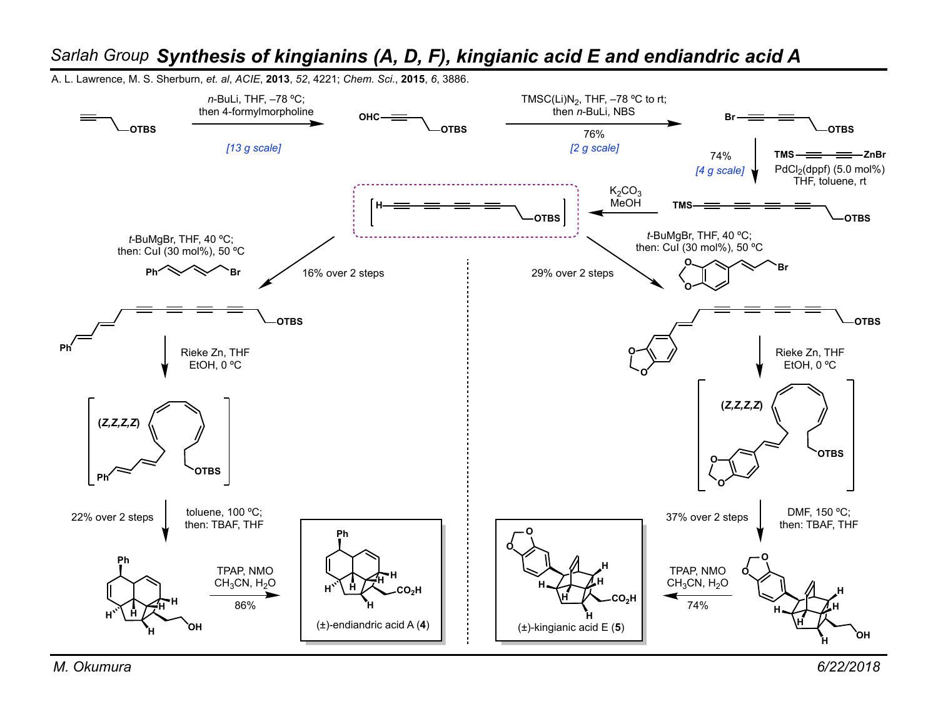

## *Sarlah Group Synthesis of kingianins (A, D, F), kingianic acid E and endiandric acid A*

A. L. Lawrence, M. S. Sherburn, *et. al*, *ACIE*, **2013**, *52*, 4221; *Chem. Sci*., **2015**, *6*, 3886.

*M. Okumura 6/22/2018*